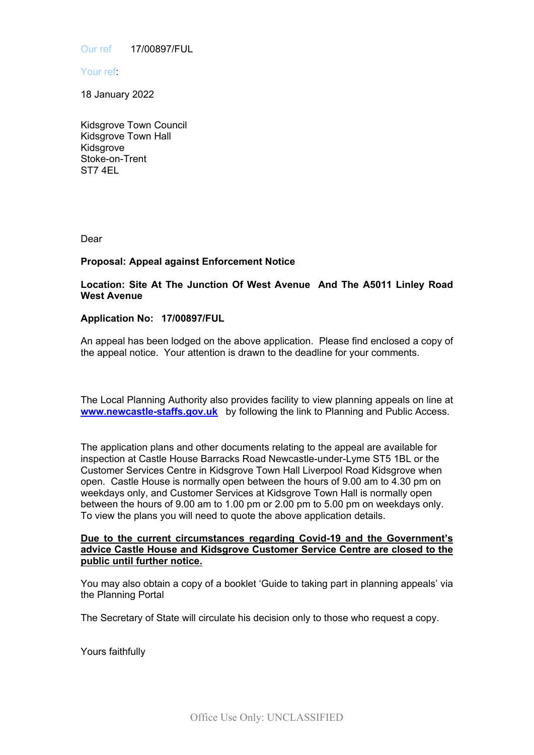Our ref 17/00897/FUL

Your ref:

18 January 2022

Kidsgrove Town Council Kidsgrove Town Hall Kidsgrove Stoke-on-Trent ST7 4EL

Dear

## **Proposal: Appeal against Enforcement Notice**

**Location: Site At The Junction Of West Avenue And The A5011 Linley Road West Avenue**

## **Application No: 17/00897/FUL**

An appeal has been lodged on the above application. Please find enclosed a copy of the appeal notice. Your attention is drawn to the deadline for your comments.

The Local Planning Authority also provides facility to view planning appeals on line at **[www.newcastle-staffs.gov.uk](http://www.newcastle-staffs.gov.uk/)** by following the link to Planning and Public Access.

The application plans and other documents relating to the appeal are available for inspection at Castle House Barracks Road Newcastle-under-Lyme ST5 1BL or the Customer Services Centre in Kidsgrove Town Hall Liverpool Road Kidsgrove when open. Castle House is normally open between the hours of 9.00 am to 4.30 pm on weekdays only, and Customer Services at Kidsgrove Town Hall is normally open between the hours of 9.00 am to 1.00 pm or 2.00 pm to 5.00 pm on weekdays only. To view the plans you will need to quote the above application details.

## **Due to the current circumstances regarding Covid-19 and the Government's advice Castle House and Kidsgrove Customer Service Centre are closed to the public until further notice.**

You may also obtain a copy of a booklet 'Guide to taking part in planning appeals' via the Planning Portal

The Secretary of State will circulate his decision only to those who request a copy.

Yours faithfully